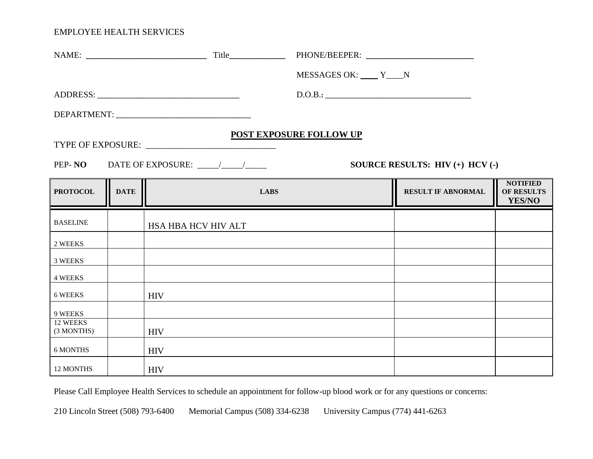|                        |                                 |                     | MESSAGES OK: V____ Y___N       |                           |                                                |
|------------------------|---------------------------------|---------------------|--------------------------------|---------------------------|------------------------------------------------|
|                        |                                 |                     | D.O.B.:                        |                           |                                                |
|                        |                                 |                     |                                |                           |                                                |
|                        |                                 |                     | <b>POST EXPOSURE FOLLOW UP</b> |                           |                                                |
|                        |                                 |                     |                                |                           |                                                |
|                        | SOURCE RESULTS: HIV (+) HCV (-) |                     |                                |                           |                                                |
| <b>PROTOCOL</b>        | <b>DATE</b>                     | <b>LABS</b>         |                                | <b>RESULT IF ABNORMAL</b> | <b>NOTIFIED</b><br><b>OF RESULTS</b><br>YES/NO |
| <b>BASELINE</b>        |                                 | HSA HBA HCV HIV ALT |                                |                           |                                                |
| 2 WEEKS                |                                 |                     |                                |                           |                                                |
| 3 WEEKS                |                                 |                     |                                |                           |                                                |
| <b>4 WEEKS</b>         |                                 |                     |                                |                           |                                                |
| 6 WEEKS                |                                 | <b>HIV</b>          |                                |                           |                                                |
| 9 WEEKS                |                                 |                     |                                |                           |                                                |
| 12 WEEKS<br>(3 MONTHS) |                                 | <b>HIV</b>          |                                |                           |                                                |
| 6 MONTHS               |                                 | <b>HIV</b>          |                                |                           |                                                |
| 12 MONTHS              |                                 | <b>HIV</b>          |                                |                           |                                                |

Please Call Employee Health Services to schedule an appointment for follow-up blood work or for any questions or concerns: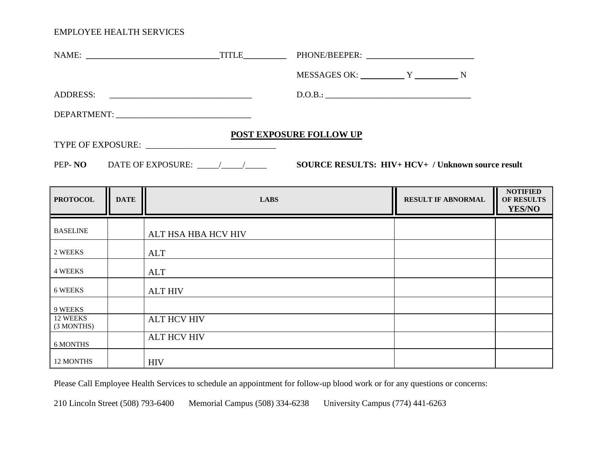(3 MONTHS)

6 MONTHS

12 MONTHS HIV

|                 |             |                     | MESSAGES OK: V V N             |                           |                                                |
|-----------------|-------------|---------------------|--------------------------------|---------------------------|------------------------------------------------|
|                 |             | ADDRESS:            | D.O.B.:                        |                           |                                                |
|                 |             |                     |                                |                           |                                                |
|                 |             |                     | <b>POST EXPOSURE FOLLOW UP</b> |                           |                                                |
|                 |             |                     |                                |                           |                                                |
|                 |             |                     |                                |                           |                                                |
| <b>PROTOCOL</b> | <b>DATE</b> | <b>LABS</b>         |                                | <b>RESULT IF ABNORMAL</b> | <b>NOTIFIED</b><br>OF RESULTS<br><b>YES/NO</b> |
| <b>BASELINE</b> |             | ALT HSA HBA HCV HIV |                                |                           |                                                |
| 2 WEEKS         |             | ALT                 |                                |                           |                                                |
| 4 WEEKS         |             | ALT                 |                                |                           |                                                |
| 6 WEEKS         |             | <b>ALT HIV</b>      |                                |                           |                                                |
| 9 WEEKS         |             |                     |                                |                           |                                                |
| 12 WEEKS        |             | <b>ALT HCV HIV</b>  |                                |                           |                                                |

Please Call Employee Health Services to schedule an appointment for follow-up blood work or for any questions or concerns:

210 Lincoln Street (508) 793-6400 Memorial Campus (508) 334-6238 University Campus (774) 441-6263

ALT HCV HIV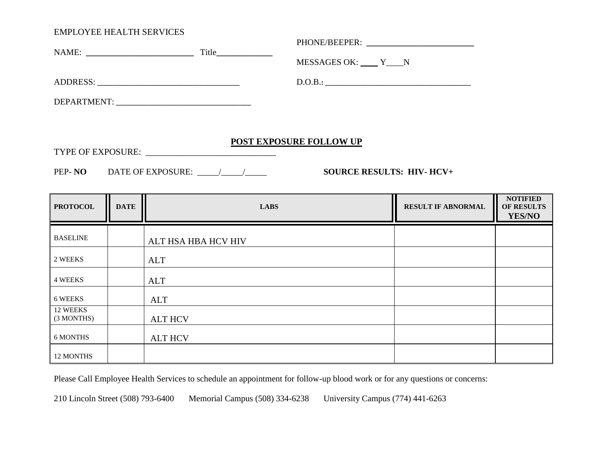| $Title$ $\qquad \qquad$ |                    |  |
|-------------------------|--------------------|--|
|                         | MESSAGES OK: $Y_N$ |  |
|                         | D.O.B.:            |  |
|                         |                    |  |
|                         |                    |  |

#### **POST EXPOSURE FOLLOW UP**

TYPE OF EXPOSURE: \_\_\_\_\_\_\_\_\_\_\_\_\_\_\_\_\_\_\_\_\_\_\_\_\_\_\_\_\_

PEP- **NO** DATE OF EXPOSURE: \_\_\_\_\_/\_\_\_\_\_/\_\_\_\_\_ **SOURCE RESULTS: HIV- HCV+** 

| <b>PROTOCOL</b>        | <b>DATE</b> | <b>LABS</b>         | <b>RESULT IF ABNORMAL</b> | <b>NOTIFIED</b><br>OF RESULTS<br><b>YES/NO</b> |
|------------------------|-------------|---------------------|---------------------------|------------------------------------------------|
| <b>BASELINE</b>        |             | ALT HSA HBA HCV HIV |                           |                                                |
| 2 WEEKS                |             | ALT                 |                           |                                                |
| <b>4 WEEKS</b>         |             | ALT                 |                           |                                                |
| 6 WEEKS                |             | <b>ALT</b>          |                           |                                                |
| 12 WEEKS<br>(3 MONTHS) |             | <b>ALT HCV</b>      |                           |                                                |
| 6 MONTHS               |             | <b>ALT HCV</b>      |                           |                                                |
| 12 MONTHS              |             |                     |                           |                                                |

Please Call Employee Health Services to schedule an appointment for follow-up blood work or for any questions or concerns: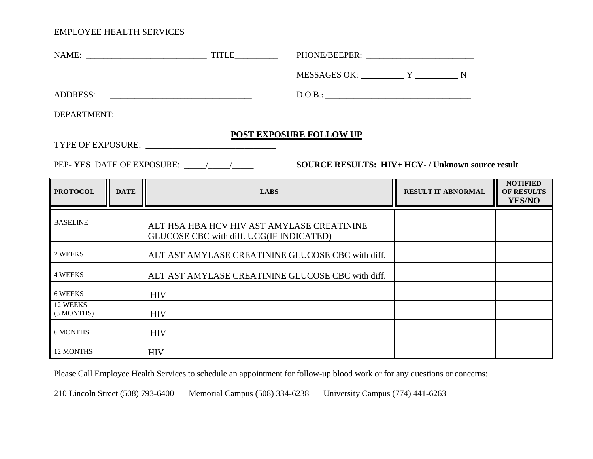| <b>POST EXPOSURE FOLLOW UP</b><br><b>SOURCE RESULTS: HIV+ HCV-/ Unknown source result</b> |             |                                                                                        |                           |                                                       |  |  |
|-------------------------------------------------------------------------------------------|-------------|----------------------------------------------------------------------------------------|---------------------------|-------------------------------------------------------|--|--|
| <b>PROTOCOL</b>                                                                           | <b>DATE</b> | <b>LABS</b>                                                                            | <b>RESULT IF ABNORMAL</b> | <b>NOTIFIED</b><br><b>OF RESULTS</b><br><b>YES/NO</b> |  |  |
| <b>BASELINE</b>                                                                           |             | ALT HSA HBA HCV HIV AST AMYLASE CREATININE<br>GLUCOSE CBC with diff. UCG(IF INDICATED) |                           |                                                       |  |  |
| 2 WEEKS                                                                                   |             | ALT AST AMYLASE CREATININE GLUCOSE CBC with diff.                                      |                           |                                                       |  |  |
| <b>4 WEEKS</b>                                                                            |             | ALT AST AMYLASE CREATININE GLUCOSE CBC with diff.                                      |                           |                                                       |  |  |
| 6 WEEKS                                                                                   |             | <b>HIV</b>                                                                             |                           |                                                       |  |  |
| 12 WEEKS<br>(3 MONTHS)                                                                    |             | <b>HIV</b>                                                                             |                           |                                                       |  |  |
| <b>6 MONTHS</b>                                                                           |             | <b>HIV</b>                                                                             |                           |                                                       |  |  |
| 12 MONTHS                                                                                 |             | <b>HIV</b>                                                                             |                           |                                                       |  |  |

Please Call Employee Health Services to schedule an appointment for follow-up blood work or for any questions or concerns: